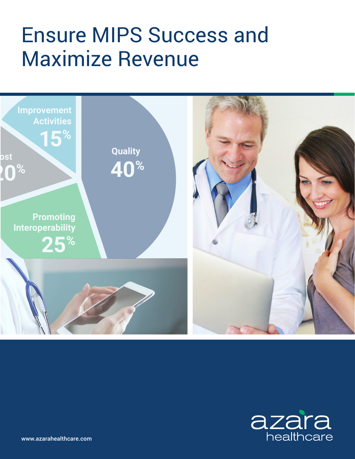# Ensure MIPS Success and Maximize Revenue





www.azarahealthcare.com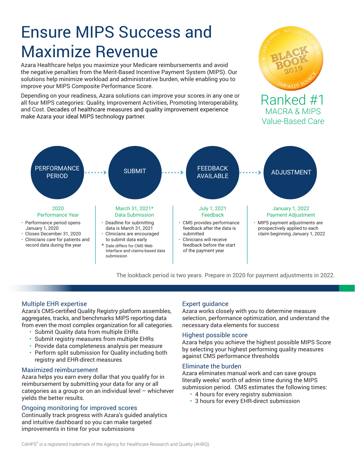## Ensure MIPS Success and Maximize Revenue

Azara Healthcare helps you maximize your Medicare reimbursements and avoid the negative penalties from the Merit-Based Incentive Payment System (MIPS). Our solutions help minimize workload and administrative burden, while enabling you to improve your MIPS Composite Performance Score.

Depending on your readiness, Azara solutions can improve your scores in any one or all four MIPS categories: Quality, Improvement Activities, Promoting Interoperability, and Cost. Decades of healthcare measures and quality improvement experience make Azara your ideal MIPS technology partner.



### Ranked #1 MACRA & MIPS Value-Based Care



The lookback period is two years. Prepare in 2020 for payment adjustments in 2022.

#### Multiple EHR expertise

Azara's CMS-certified Quality Registry platform assembles, aggregates, tracks, and benchmarks MIPS reporting data from even the most complex organization for all categories.

- Submit Quality data from multiple EHRs
- Submit registry measures from multiple EHRs
- Provide data completeness analysis per measure
- Perform split submission for Quality including both registry and EHR-direct measures

#### Maximized reimbursement

Azara helps you earn every dollar that you qualify for in reimbursement by submitting your data for any or all categories as a group or on an individual level – whichever yields the better results.

#### Ongoing monitoring for improved scores

Continually track progress with Azara's guided analytics and intuitive dashboard so you can make targeted improvements in time for your submissions

#### Expert guidance

Azara works closely with you to determine measure selection, performance optimization, and understand the necessary data elements for success

#### Highest possible score

Azara helps you achieve the highest possible MIPS Score by selecting your highest performing quality measures against CMS performance thresholds

#### Eliminate the burden

Azara eliminates manual work and can save groups literally weeks' worth of admin time during the MIPS submission period. CMS estimates the following times:

- 4 hours for every registry submission
- 3 hours for every EHR-direct submission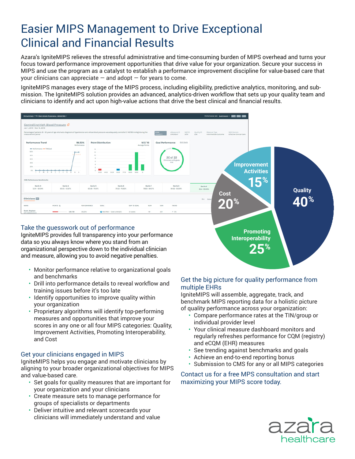### Easier MIPS Management to Drive Exceptional Clinical and Financial Results

Azara's IgniteMIPS relieves the stressful administrative and time-consuming burden of MIPS overhead and turns your focus toward performance improvement opportunities that drive value for your organization. Secure your success in MIPS and use the program as a catalyst to establish a performance improvement discipline for value-based care that your clinicians can appreciate  $-$  and adopt  $-$  for years to come.

IgniteMIPS manages every stage of the MIPS process, including eligibility, predictive analytics, monitoring, and submission. The IgniteMIPS solution provides an advanced, analytics-driven workflow that sets up your quality team and clinicians to identify and act upon high-value actions that drive the best clinical and financial results.



IgniteMIPS provides full transparency into your performance data so you always know where you stand from an organizational perspective down to the individual clinician and measure, allowing you to avoid negative penalties.

- Monitor performance relative to organizational goals and benchmarks
- Drill into performance details to reveal workflow and training issues before it's too late
- Identify opportunities to improve quality within your organization
- Proprietary algorithms will identify top-performing measures and opportunities that improve your scores in any one or all four MIPS categories: Quality, Improvement Activities, Promoting Interoperability, and Cost

#### Get your clinicians engaged in MIPS

IgniteMIPS helps you engage and motivate clinicians by aligning to your broader organizational objectives for MIPS and value-based care.

- Set goals for quality measures that are important for your organization and your clinicians
- Create measure sets to manage performance for groups of specialists or departments
- Deliver intuitive and relevant scorecards your clinicians will immediately understand and value

#### Get the big picture for quality performance from multiple EHRs

**Interoperability**

**25%**

IgniteMIPS will assemble, aggregate, track, and benchmark MIPS reporting data for a holistic picture of quality performance across your organization:

- Compare performance rates at the TIN/group or individual provider level
- Your clinical measure dashboard monitors and regularly refreshes performance for CQM (registry) and eCQM (EHR) measures
- See trending against benchmarks and goals
- Achieve an end-to-end reporting bonus
- Submission to CMS for any or all MIPS categories

Contact us for a free MPS consultation and start maximizing your MIPS score today.